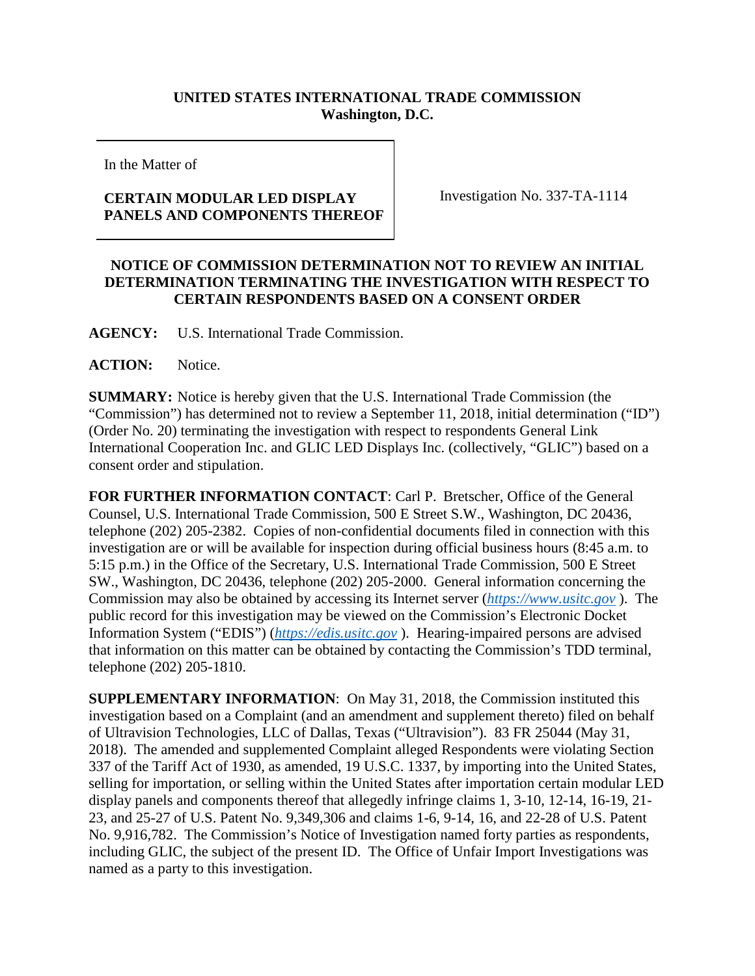## **UNITED STATES INTERNATIONAL TRADE COMMISSION Washington, D.C.**

In the Matter of

## **CERTAIN MODULAR LED DISPLAY PANELS AND COMPONENTS THEREOF**

Investigation No. 337-TA-1114

## **NOTICE OF COMMISSION DETERMINATION NOT TO REVIEW AN INITIAL DETERMINATION TERMINATING THE INVESTIGATION WITH RESPECT TO CERTAIN RESPONDENTS BASED ON A CONSENT ORDER**

**AGENCY:** U.S. International Trade Commission.

## **ACTION:** Notice.

**SUMMARY:** Notice is hereby given that the U.S. International Trade Commission (the "Commission") has determined not to review a September 11, 2018, initial determination ("ID") (Order No. 20) terminating the investigation with respect to respondents General Link International Cooperation Inc. and GLIC LED Displays Inc. (collectively, "GLIC") based on a consent order and stipulation.

**FOR FURTHER INFORMATION CONTACT**: Carl P. Bretscher, Office of the General Counsel, U.S. International Trade Commission, 500 E Street S.W., Washington, DC 20436, telephone (202) 205-2382. Copies of non-confidential documents filed in connection with this investigation are or will be available for inspection during official business hours (8:45 a.m. to 5:15 p.m.) in the Office of the Secretary, U.S. International Trade Commission, 500 E Street SW., Washington, DC 20436, telephone (202) 205-2000. General information concerning the Commission may also be obtained by accessing its Internet server (*[https://www.usitc.gov](https://www.usitc.gov/)* ). The public record for this investigation may be viewed on the Commission's Electronic Docket Information System ("EDIS") (*[https://edis.usitc.gov](https://edis.usitc.gov/)* ). Hearing-impaired persons are advised that information on this matter can be obtained by contacting the Commission's TDD terminal, telephone (202) 205-1810.

**SUPPLEMENTARY INFORMATION**: On May 31, 2018, the Commission instituted this investigation based on a Complaint (and an amendment and supplement thereto) filed on behalf of Ultravision Technologies, LLC of Dallas, Texas ("Ultravision"). 83 FR 25044 (May 31, 2018). The amended and supplemented Complaint alleged Respondents were violating Section 337 of the Tariff Act of 1930, as amended, 19 U.S.C. 1337, by importing into the United States, selling for importation, or selling within the United States after importation certain modular LED display panels and components thereof that allegedly infringe claims 1, 3-10, 12-14, 16-19, 21- 23, and 25-27 of U.S. Patent No. 9,349,306 and claims 1-6, 9-14, 16, and 22-28 of U.S. Patent No. 9,916,782. The Commission's Notice of Investigation named forty parties as respondents, including GLIC, the subject of the present ID. The Office of Unfair Import Investigations was named as a party to this investigation.